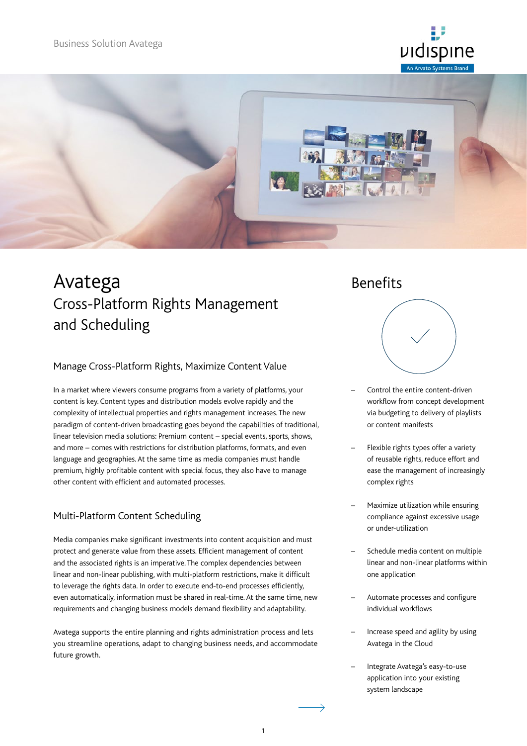



# Avatega Cross-Platform Rights Management and Scheduling

#### Manage Cross-Platform Rights, Maximize Content Value

In a market where viewers consume programs from a variety of platforms, your content is key. Content types and distribution models evolve rapidly and the complexity of intellectual properties and rights management increases. The new paradigm of content-driven broadcasting goes beyond the capabilities of traditional, linear television media solutions: Premium content – special events, sports, shows, and more – comes with restrictions for distribution platforms, formats, and even language and geographies. At the same time as media companies must handle premium, highly profitable content with special focus, they also have to manage other content with efficient and automated processes.

#### Multi-Platform Content Scheduling

Media companies make significant investments into content acquisition and must protect and generate value from these assets. Efficient management of content and the associated rights is an imperative. The complex dependencies between linear and non-linear publishing, with multi-platform restrictions, make it difficult to leverage the rights data. In order to execute end-to-end processes efficiently, even automatically, information must be shared in real-time. At the same time, new requirements and changing business models demand flexibility and adaptability.

Avatega supports the entire planning and rights administration process and lets you streamline operations, adapt to changing business needs, and accommodate future growth.

## Benefits



- Control the entire content-driven workflow from concept development via budgeting to delivery of playlists or content manifests
- Flexible rights types offer a variety of reusable rights, reduce effort and ease the management of increasingly complex rights
- Maximize utilization while ensuring compliance against excessive usage or under-utilization
- Schedule media content on multiple linear and non-linear platforms within one application
- Automate processes and configure individual workflows
- Increase speed and agility by using Avatega in the Cloud
- Integrate Avatega's easy-to-use application into your existing system landscape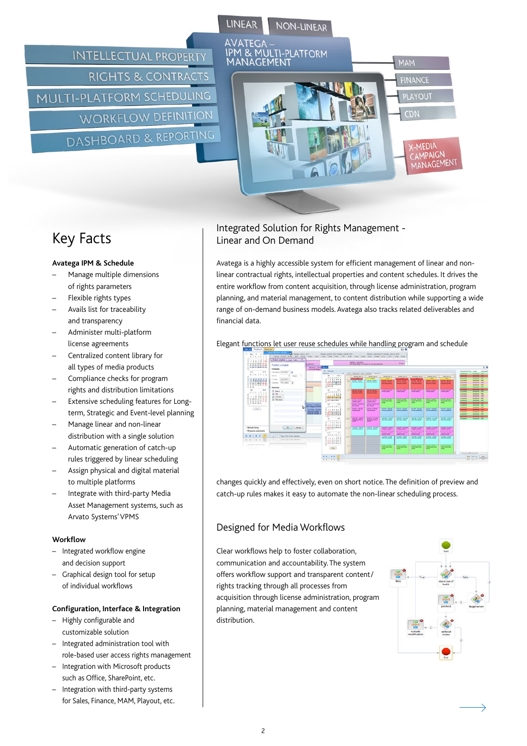**INTELLECTUAL PROPERTY RIGHTS & CONTRACTS MULTI-PLATFORM SCHEDULING WORKFLOW DEFINITION** DASHBOARD & REPORTING



## Key Facts

#### **Avatega IPM & Schedule**

- Manage multiple dimensions of rights parameters
- Flexible rights types
- Avails list for traceability and transparency
- Administer multi-platform license agreements
- Centralized content library for all types of media products
- Compliance checks for program rights and distribution limitations
- Extensive scheduling features for Longterm, Strategic and Event-level planning
- Manage linear and non-linear distribution with a single solution
- Automatic generation of catch-up rules triggered by linear scheduling
- Assign physical and digital material to multiple platforms
- Integrate with third-party Media Asset Management systems, such as Arvato Systems' VPMS

#### **Workflow**

- Integrated workflow engine and decision support
- Graphical design tool for setup of individual workflows

#### **Configuration, Interface & Integration**

- Highly configurable and customizable solution
- Integrated administration tool with role-based user access rights management
- Integration with Microsoft products such as Office, SharePoint, etc.
- Integration with third-party systems for Sales, Finance, MAM, Playout, etc.

### Integrated Solution for Rights Management - Linear and On Demand

Avatega is a highly accessible system for efficient management of linear and nonlinear contractual rights, intellectual properties and content schedules. It drives the entire workflow from content acquisition, through license administration, program planning, and material management, to content distribution while supporting a wide range of on-demand business models. Avatega also tracks related deliverables and financial data.

Elegant functions let user reuse schedules while handling program and schedule



changes quickly and effectively, even on short notice. The definition of preview and catch-up rules makes it easy to automate the non-linear scheduling process.

## Designed for Media Workflows

Clear workflows help to foster collaboration, communication and accountability. The system offers workflow support and transparent content/ rights tracking through all processes from acquisition through license administration, program planning, material management and content distribution.

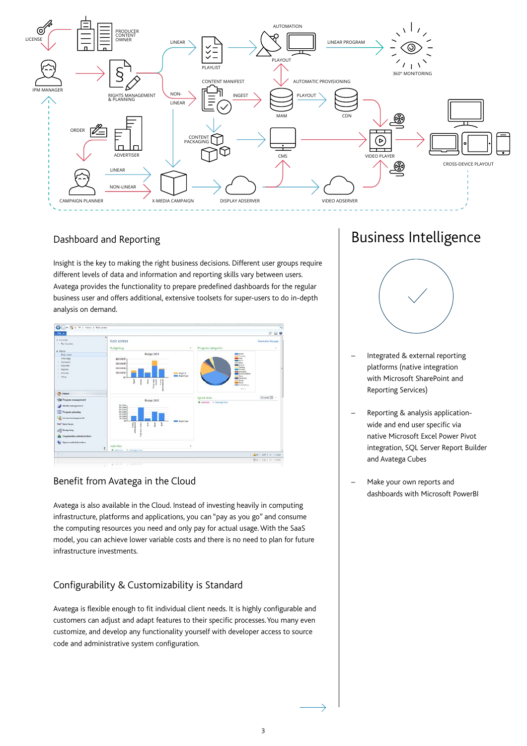

#### Dashboard and Reporting

Insight is the key to making the right business decisions. Different user groups require different levels of data and information and reporting skills vary between users. Avatega provides the functionality to prepare predefined dashboards for the regular business user and offers additional, extensive toolsets for super-users to do in-depth analysis on demand.



#### Benefit from Avatega in the Cloud

Avatega is also available in the Cloud. Instead of investing heavily in computing infrastructure, platforms and applications, you can "pay as you go" and consume the computing resources you need and only pay for actual usage. With the SaaS model, you can achieve lower variable costs and there is no need to plan for future infrastructure investments.

## Configurability & Customizability is Standard

Avatega is flexible enough to fit individual client needs. It is highly configurable and customers can adjust and adapt features to their specific processes. You many even customize, and develop any functionality yourself with developer access to source code and administrative system configuration.

# Business Intelligence



- Integrated & external reporting platforms (native integration with Microsoft SharePoint and Reporting Services)
- Reporting & analysis applicationwide and end user specific via native Microsoft Excel Power Pivot integration, SQL Server Report Builder and Avatega Cubes
- Make your own reports and dashboards with Microsoft PowerBI

 $\rightarrow$